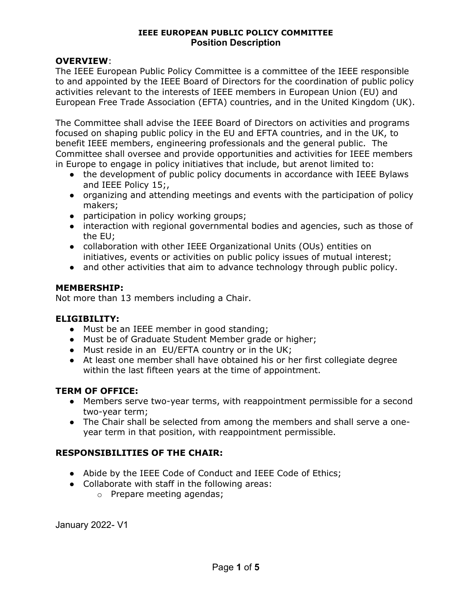### OVERVIEW:

The IEEE European Public Policy Committee is a committee of the IEEE responsible to and appointed by the IEEE Board of Directors for the coordination of public policy activities relevant to the interests of IEEE members in European Union (EU) and European Free Trade Association (EFTA) countries, and in the United Kingdom (UK).

The Committee shall advise the IEEE Board of Directors on activities and programs focused on shaping public policy in the EU and EFTA countries, and in the UK, to benefit IEEE members, engineering professionals and the general public. The Committee shall oversee and provide opportunities and activities for IEEE members in Europe to engage in policy initiatives that include, but arenot limited to:

- the development of public policy documents in accordance with IEEE Bylaws and IEEE Policy 15;,
- organizing and attending meetings and events with the participation of policy makers;
- participation in policy working groups;
- interaction with regional governmental bodies and agencies, such as those of the EU;
- collaboration with other IEEE Organizational Units (OUs) entities on initiatives, events or activities on public policy issues of mutual interest;
- and other activities that aim to advance technology through public policy.

### MEMBERSHIP:

Not more than 13 members including a Chair.

### ELIGIBILITY:

- Must be an IEEE member in good standing;
- Must be of Graduate Student Member grade or higher;
- Must reside in an EU/EFTA country or in the UK;
- At least one member shall have obtained his or her first collegiate degree within the last fifteen years at the time of appointment.

### TERM OF OFFICE:

- Members serve two-year terms, with reappointment permissible for a second two-year term;
- The Chair shall be selected from among the members and shall serve a oneyear term in that position, with reappointment permissible.

## RESPONSIBILITIES OF THE CHAIR:

- Abide by the IEEE Code of Conduct and IEEE Code of Ethics;
- Collaborate with staff in the following areas:
	- o Prepare meeting agendas;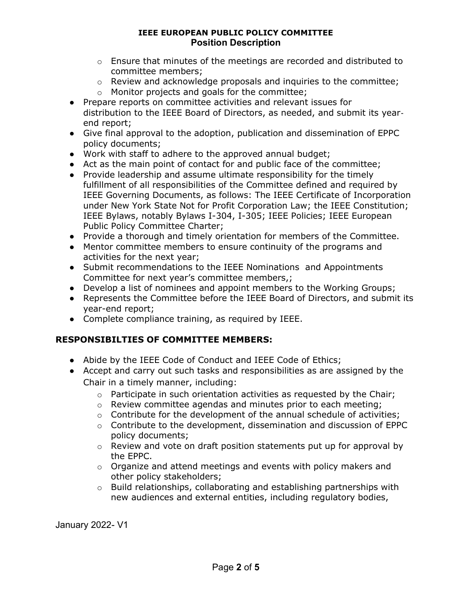- $\circ$  Ensure that minutes of the meetings are recorded and distributed to committee members;
- o Review and acknowledge proposals and inquiries to the committee;
- o Monitor projects and goals for the committee;
- Prepare reports on committee activities and relevant issues for distribution to the IEEE Board of Directors, as needed, and submit its year‐ end report;
- Give final approval to the adoption, publication and dissemination of EPPC policy documents;
- Work with staff to adhere to the approved annual budget;
- Act as the main point of contact for and public face of the committee;
- Provide leadership and assume ultimate responsibility for the timely fulfillment of all responsibilities of the Committee defined and required by IEEE Governing Documents, as follows: The IEEE Certificate of Incorporation under New York State Not for Profit Corporation Law; the IEEE Constitution; IEEE Bylaws, notably Bylaws I-304, I-305; IEEE Policies; IEEE European Public Policy Committee Charter;
- Provide a thorough and timely orientation for members of the Committee.
- Mentor committee members to ensure continuity of the programs and activities for the next year;
- Submit recommendations to the IEEE Nominations and Appointments Committee for next year's committee members,;
- Develop a list of nominees and appoint members to the Working Groups;
- Represents the Committee before the IEEE Board of Directors, and submit its year-end report;
- Complete compliance training, as required by IEEE.

## RESPONSIBILTIES OF COMMITTEE MEMBERS:

- Abide by the IEEE Code of Conduct and IEEE Code of Ethics;
- Accept and carry out such tasks and responsibilities as are assigned by the Chair in a timely manner, including:
	- o Participate in such orientation activities as requested by the Chair;
	- o Review committee agendas and minutes prior to each meeting;
	- $\circ$  Contribute for the development of the annual schedule of activities;
	- $\circ$  Contribute to the development, dissemination and discussion of EPPC policy documents;
	- o Review and vote on draft position statements put up for approval by the EPPC.
	- $\circ$  Organize and attend meetings and events with policy makers and other policy stakeholders;
	- o Build relationships, collaborating and establishing partnerships with new audiences and external entities, including regulatory bodies,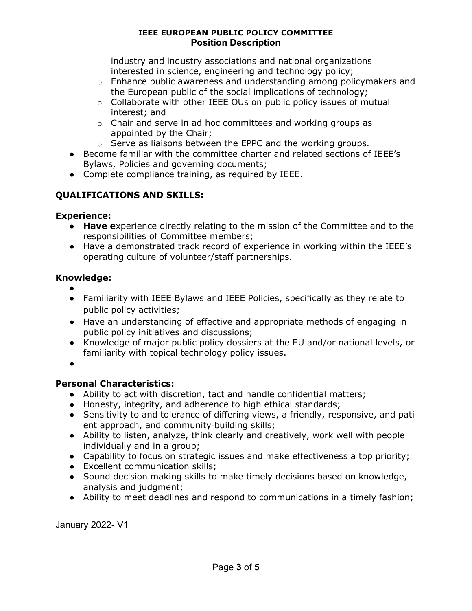industry and industry associations and national organizations interested in science, engineering and technology policy;

- $\circ$  Enhance public awareness and understanding among policymakers and the European public of the social implications of technology;
- o Collaborate with other IEEE OUs on public policy issues of mutual interest; and
- o Chair and serve in ad hoc committees and working groups as appointed by the Chair;
- o Serve as liaisons between the EPPC and the working groups.
- Become familiar with the committee charter and related sections of IEEE's Bylaws, Policies and governing documents;
- Complete compliance training, as required by IEEE.

# QUALIFICATIONS AND SKILLS:

## Experience:

- Have experience directly relating to the mission of the Committee and to the responsibilities of Committee members;
- Have a demonstrated track record of experience in working within the IEEE's operating culture of volunteer/staff partnerships.

## Knowledge:

- ● Familiarity with IEEE Bylaws and IEEE Policies, specifically as they relate to public policy activities;
- Have an understanding of effective and appropriate methods of engaging in public policy initiatives and discussions;
- Knowledge of major public policy dossiers at the EU and/or national levels, or familiarity with topical technology policy issues.

●

# Personal Characteristics:

- Ability to act with discretion, tact and handle confidential matters;
- Honesty, integrity, and adherence to high ethical standards;
- Sensitivity to and tolerance of differing views, a friendly, responsive, and pati ent approach, and community‐building skills;
- Ability to listen, analyze, think clearly and creatively, work well with people individually and in a group;
- Capability to focus on strategic issues and make effectiveness a top priority;
- Excellent communication skills;
- Sound decision making skills to make timely decisions based on knowledge, analysis and judgment;
- Ability to meet deadlines and respond to communications in a timely fashion;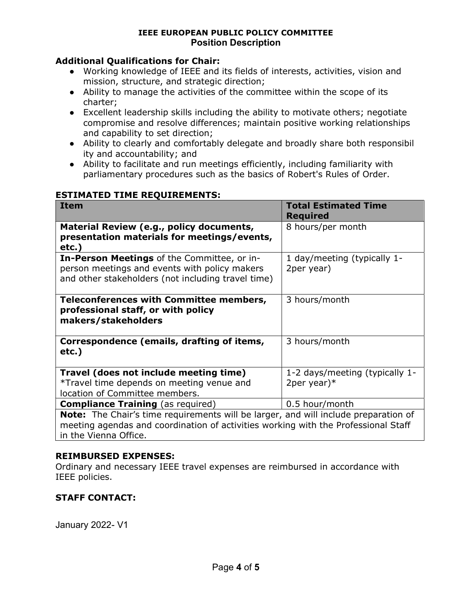### Additional Qualifications for Chair:

- Working knowledge of IEEE and its fields of interests, activities, vision and mission, structure, and strategic direction;
- Ability to manage the activities of the committee within the scope of its charter;
- Excellent leadership skills including the ability to motivate others; negotiate compromise and resolve differences; maintain positive working relationships and capability to set direction;
- Ability to clearly and comfortably delegate and broadly share both responsibil ity and accountability; and
- Ability to facilitate and run meetings efficiently, including familiarity with parliamentary procedures such as the basics of Robert's Rules of Order.

### ESTIMATED TIME REQUIREMENTS:

| <b>Item</b>                                                                                                                                                                                                                             | <b>Total Estimated Time</b><br><b>Required</b>   |
|-----------------------------------------------------------------------------------------------------------------------------------------------------------------------------------------------------------------------------------------|--------------------------------------------------|
| Material Review (e.g., policy documents,<br>presentation materials for meetings/events,<br>$etc.$ )                                                                                                                                     | 8 hours/per month                                |
| <b>In-Person Meetings</b> of the Committee, or in-<br>person meetings and events with policy makers<br>and other stakeholders (not including travel time)                                                                               | 1 day/meeting (typically 1-<br>2per year)        |
| <b>Teleconferences with Committee members,</b><br>professional staff, or with policy<br>makers/stakeholders                                                                                                                             | 3 hours/month                                    |
| Correspondence (emails, drafting of items,<br>$etc.$ )                                                                                                                                                                                  | 3 hours/month                                    |
| Travel (does not include meeting time)<br>*Travel time depends on meeting venue and<br>location of Committee members.                                                                                                                   | 1-2 days/meeting (typically 1-<br>2per year) $*$ |
| 0.5 hour/month<br><b>Compliance Training</b> (as required)<br>Note: The Chair's time requirements will be larger, and will include preparation of<br>meeting agendas and coordination of activities working with the Professional Staff |                                                  |

#### REIMBURSED EXPENSES:

In the Vienna Office.

Ordinary and necessary IEEE travel expenses are reimbursed in accordance with IEEE policies.

## STAFF CONTACT: